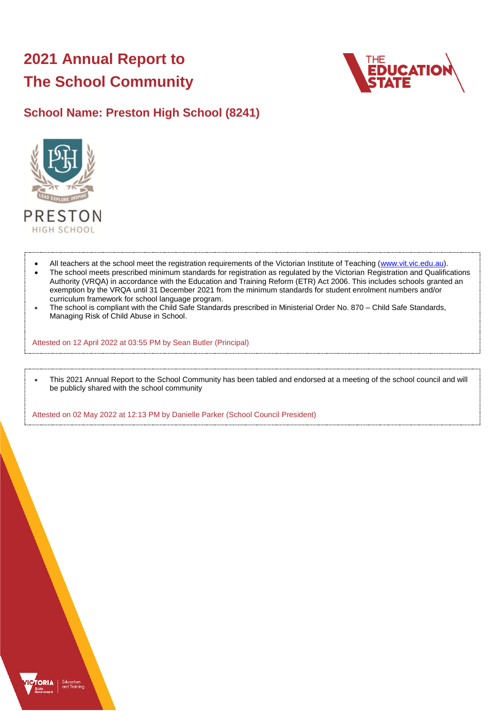# **2021 Annual Report to The School Community**



## **School Name: Preston High School (8241)**



- All teachers at the school meet the registration requirements of the Victorian Institute of Teaching [\(www.vit.vic.edu.au\)](https://www.vit.vic.edu.au/).
- The school meets prescribed minimum standards for registration as regulated by the Victorian Registration and Qualifications Authority (VRQA) in accordance with the Education and Training Reform (ETR) Act 2006. This includes schools granted an exemption by the VRQA until 31 December 2021 from the minimum standards for student enrolment numbers and/or curriculum framework for school language program.
- The school is compliant with the Child Safe Standards prescribed in Ministerial Order No. 870 Child Safe Standards, Managing Risk of Child Abuse in School.

Attested on 12 April 2022 at 03:55 PM by Sean Butler (Principal)

 This 2021 Annual Report to the School Community has been tabled and endorsed at a meeting of the school council and will be publicly shared with the school community

Attested on 02 May 2022 at 12:13 PM by Danielle Parker (School Council President)

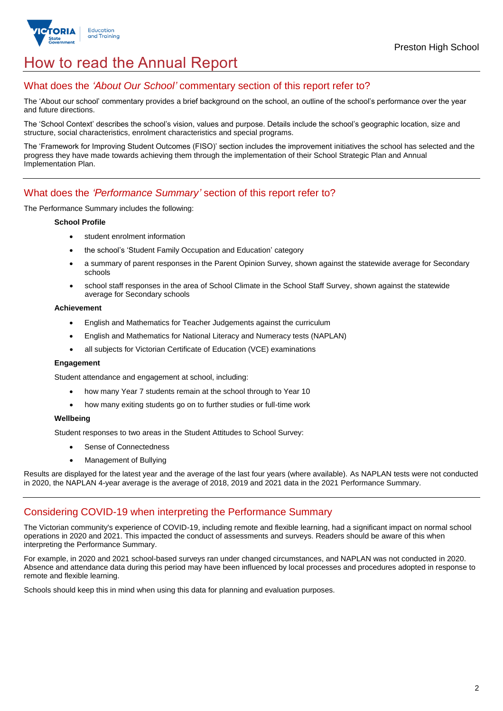

## How to read the Annual Report

## What does the *'About Our School'* commentary section of this report refer to?

The 'About our school' commentary provides a brief background on the school, an outline of the school's performance over the year and future directions.

The 'School Context' describes the school's vision, values and purpose. Details include the school's geographic location, size and structure, social characteristics, enrolment characteristics and special programs.

The 'Framework for Improving Student Outcomes (FISO)' section includes the improvement initiatives the school has selected and the progress they have made towards achieving them through the implementation of their School Strategic Plan and Annual Implementation Plan.

### What does the *'Performance Summary'* section of this report refer to?

The Performance Summary includes the following:

#### **School Profile**

- student enrolment information
- the school's 'Student Family Occupation and Education' category
- a summary of parent responses in the Parent Opinion Survey, shown against the statewide average for Secondary schools
- school staff responses in the area of School Climate in the School Staff Survey, shown against the statewide average for Secondary schools

#### **Achievement**

- English and Mathematics for Teacher Judgements against the curriculum
- English and Mathematics for National Literacy and Numeracy tests (NAPLAN)
- all subjects for Victorian Certificate of Education (VCE) examinations

#### **Engagement**

Student attendance and engagement at school, including:

- how many Year 7 students remain at the school through to Year 10
- how many exiting students go on to further studies or full-time work

#### **Wellbeing**

Student responses to two areas in the Student Attitudes to School Survey:

- Sense of Connectedness
- Management of Bullying

Results are displayed for the latest year and the average of the last four years (where available). As NAPLAN tests were not conducted in 2020, the NAPLAN 4-year average is the average of 2018, 2019 and 2021 data in the 2021 Performance Summary.

### Considering COVID-19 when interpreting the Performance Summary

The Victorian community's experience of COVID-19, including remote and flexible learning, had a significant impact on normal school operations in 2020 and 2021. This impacted the conduct of assessments and surveys. Readers should be aware of this when interpreting the Performance Summary.

For example, in 2020 and 2021 school-based surveys ran under changed circumstances, and NAPLAN was not conducted in 2020. Absence and attendance data during this period may have been influenced by local processes and procedures adopted in response to remote and flexible learning.

Schools should keep this in mind when using this data for planning and evaluation purposes.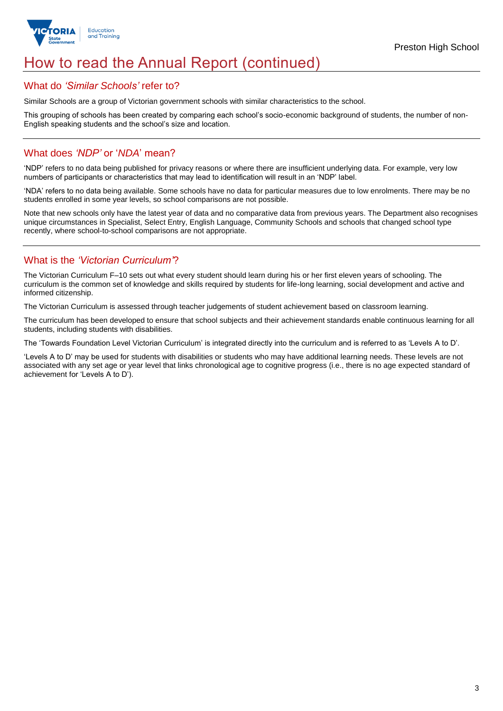

## How to read the Annual Report (continued)

### What do *'Similar Schools'* refer to?

Similar Schools are a group of Victorian government schools with similar characteristics to the school.

This grouping of schools has been created by comparing each school's socio-economic background of students, the number of non-English speaking students and the school's size and location.

## What does *'NDP'* or '*NDA*' mean?

'NDP' refers to no data being published for privacy reasons or where there are insufficient underlying data. For example, very low numbers of participants or characteristics that may lead to identification will result in an 'NDP' label.

'NDA' refers to no data being available. Some schools have no data for particular measures due to low enrolments. There may be no students enrolled in some year levels, so school comparisons are not possible.

Note that new schools only have the latest year of data and no comparative data from previous years. The Department also recognises unique circumstances in Specialist, Select Entry, English Language, Community Schools and schools that changed school type recently, where school-to-school comparisons are not appropriate.

## What is the *'Victorian Curriculum'*?

The Victorian Curriculum F–10 sets out what every student should learn during his or her first eleven years of schooling. The curriculum is the common set of knowledge and skills required by students for life-long learning, social development and active and informed citizenship.

The Victorian Curriculum is assessed through teacher judgements of student achievement based on classroom learning.

The curriculum has been developed to ensure that school subjects and their achievement standards enable continuous learning for all students, including students with disabilities.

The 'Towards Foundation Level Victorian Curriculum' is integrated directly into the curriculum and is referred to as 'Levels A to D'.

'Levels A to D' may be used for students with disabilities or students who may have additional learning needs. These levels are not associated with any set age or year level that links chronological age to cognitive progress (i.e., there is no age expected standard of achievement for 'Levels A to D').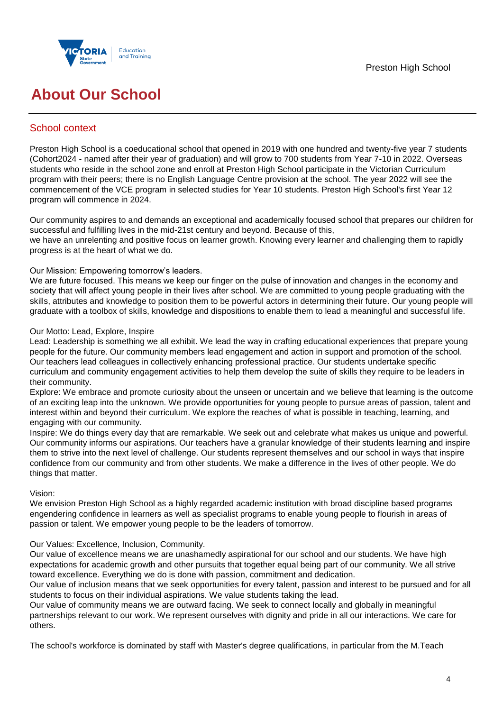

## **About Our School**

## School context

Preston High School is a coeducational school that opened in 2019 with one hundred and twenty-five year 7 students (Cohort2024 - named after their year of graduation) and will grow to 700 students from Year 7-10 in 2022. Overseas students who reside in the school zone and enroll at Preston High School participate in the Victorian Curriculum program with their peers; there is no English Language Centre provision at the school. The year 2022 will see the commencement of the VCE program in selected studies for Year 10 students. Preston High School's first Year 12 program will commence in 2024.

Our community aspires to and demands an exceptional and academically focused school that prepares our children for successful and fulfilling lives in the mid-21st century and beyond. Because of this,

we have an unrelenting and positive focus on learner growth. Knowing every learner and challenging them to rapidly progress is at the heart of what we do.

#### Our Mission: Empowering tomorrow's leaders.

We are future focused. This means we keep our finger on the pulse of innovation and changes in the economy and society that will affect young people in their lives after school. We are committed to young people graduating with the skills, attributes and knowledge to position them to be powerful actors in determining their future. Our young people will graduate with a toolbox of skills, knowledge and dispositions to enable them to lead a meaningful and successful life.

#### Our Motto: Lead, Explore, Inspire

Lead: Leadership is something we all exhibit. We lead the way in crafting educational experiences that prepare young people for the future. Our community members lead engagement and action in support and promotion of the school. Our teachers lead colleagues in collectively enhancing professional practice. Our students undertake specific curriculum and community engagement activities to help them develop the suite of skills they require to be leaders in their community.

Explore: We embrace and promote curiosity about the unseen or uncertain and we believe that learning is the outcome of an exciting leap into the unknown. We provide opportunities for young people to pursue areas of passion, talent and interest within and beyond their curriculum. We explore the reaches of what is possible in teaching, learning, and engaging with our community.

Inspire: We do things every day that are remarkable. We seek out and celebrate what makes us unique and powerful. Our community informs our aspirations. Our teachers have a granular knowledge of their students learning and inspire them to strive into the next level of challenge. Our students represent themselves and our school in ways that inspire confidence from our community and from other students. We make a difference in the lives of other people. We do things that matter.

#### Vision:

We envision Preston High School as a highly regarded academic institution with broad discipline based programs engendering confidence in learners as well as specialist programs to enable young people to flourish in areas of passion or talent. We empower young people to be the leaders of tomorrow.

#### Our Values: Excellence, Inclusion, Community.

Our value of excellence means we are unashamedly aspirational for our school and our students. We have high expectations for academic growth and other pursuits that together equal being part of our community. We all strive toward excellence. Everything we do is done with passion, commitment and dedication.

Our value of inclusion means that we seek opportunities for every talent, passion and interest to be pursued and for all students to focus on their individual aspirations. We value students taking the lead.

Our value of community means we are outward facing. We seek to connect locally and globally in meaningful partnerships relevant to our work. We represent ourselves with dignity and pride in all our interactions. We care for others.

The school's workforce is dominated by staff with Master's degree qualifications, in particular from the M.Teach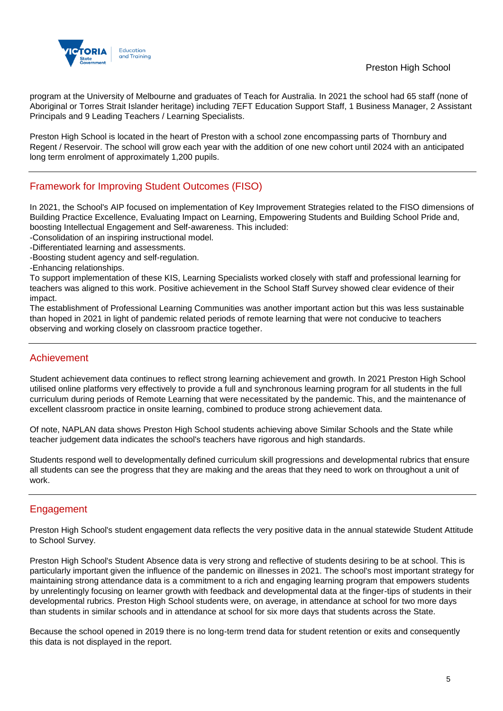

program at the University of Melbourne and graduates of Teach for Australia. In 2021 the school had 65 staff (none of Aboriginal or Torres Strait Islander heritage) including 7EFT Education Support Staff, 1 Business Manager, 2 Assistant Principals and 9 Leading Teachers / Learning Specialists.

Preston High School is located in the heart of Preston with a school zone encompassing parts of Thornbury and Regent / Reservoir. The school will grow each year with the addition of one new cohort until 2024 with an anticipated long term enrolment of approximately 1,200 pupils.

## Framework for Improving Student Outcomes (FISO)

In 2021, the School's AIP focused on implementation of Key Improvement Strategies related to the FISO dimensions of Building Practice Excellence, Evaluating Impact on Learning, Empowering Students and Building School Pride and, boosting Intellectual Engagement and Self-awareness. This included:

-Consolidation of an inspiring instructional model.

-Differentiated learning and assessments.

-Boosting student agency and self-regulation.

-Enhancing relationships.

To support implementation of these KIS, Learning Specialists worked closely with staff and professional learning for teachers was aligned to this work. Positive achievement in the School Staff Survey showed clear evidence of their impact.

The establishment of Professional Learning Communities was another important action but this was less sustainable than hoped in 2021 in light of pandemic related periods of remote learning that were not conducive to teachers observing and working closely on classroom practice together.

## Achievement

Student achievement data continues to reflect strong learning achievement and growth. In 2021 Preston High School utilised online platforms very effectively to provide a full and synchronous learning program for all students in the full curriculum during periods of Remote Learning that were necessitated by the pandemic. This, and the maintenance of excellent classroom practice in onsite learning, combined to produce strong achievement data.

Of note, NAPLAN data shows Preston High School students achieving above Similar Schools and the State while teacher judgement data indicates the school's teachers have rigorous and high standards.

Students respond well to developmentally defined curriculum skill progressions and developmental rubrics that ensure all students can see the progress that they are making and the areas that they need to work on throughout a unit of work.

## Engagement

Preston High School's student engagement data reflects the very positive data in the annual statewide Student Attitude to School Survey.

Preston High School's Student Absence data is very strong and reflective of students desiring to be at school. This is particularly important given the influence of the pandemic on illnesses in 2021. The school's most important strategy for maintaining strong attendance data is a commitment to a rich and engaging learning program that empowers students by unrelentingly focusing on learner growth with feedback and developmental data at the finger-tips of students in their developmental rubrics. Preston High School students were, on average, in attendance at school for two more days than students in similar schools and in attendance at school for six more days that students across the State.

Because the school opened in 2019 there is no long-term trend data for student retention or exits and consequently this data is not displayed in the report.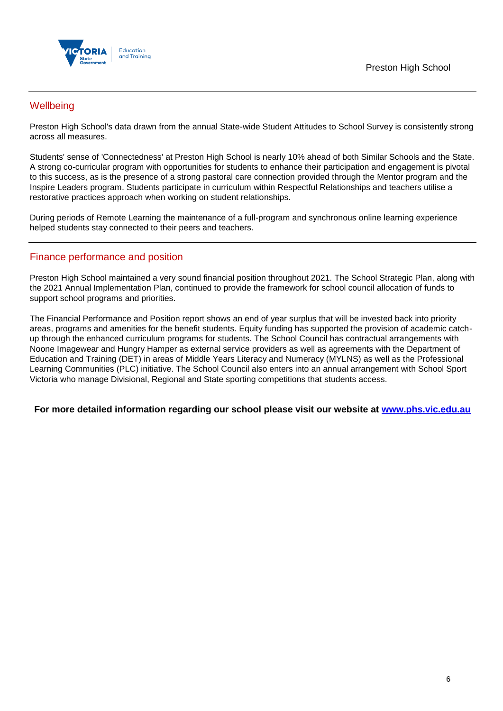

## **Wellbeing**

Preston High School's data drawn from the annual State-wide Student Attitudes to School Survey is consistently strong across all measures.

Students' sense of 'Connectedness' at Preston High School is nearly 10% ahead of both Similar Schools and the State. A strong co-curricular program with opportunities for students to enhance their participation and engagement is pivotal to this success, as is the presence of a strong pastoral care connection provided through the Mentor program and the Inspire Leaders program. Students participate in curriculum within Respectful Relationships and teachers utilise a restorative practices approach when working on student relationships.

During periods of Remote Learning the maintenance of a full-program and synchronous online learning experience helped students stay connected to their peers and teachers.

## Finance performance and position

Preston High School maintained a very sound financial position throughout 2021. The School Strategic Plan, along with the 2021 Annual Implementation Plan, continued to provide the framework for school council allocation of funds to support school programs and priorities.

The Financial Performance and Position report shows an end of year surplus that will be invested back into priority areas, programs and amenities for the benefit students. Equity funding has supported the provision of academic catchup through the enhanced curriculum programs for students. The School Council has contractual arrangements with Noone Imagewear and Hungry Hamper as external service providers as well as agreements with the Department of Education and Training (DET) in areas of Middle Years Literacy and Numeracy (MYLNS) as well as the Professional Learning Communities (PLC) initiative. The School Council also enters into an annual arrangement with School Sport Victoria who manage Divisional, Regional and State sporting competitions that students access.

**For more detailed information regarding our school please visit our website at [www.phs.vic.edu.au](file:///C:/Users/08325532/Downloads/www.phs.vic.edu.au)**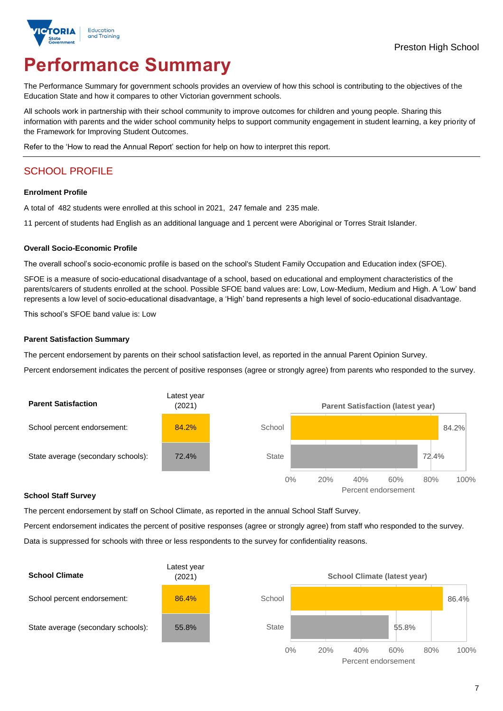

# **Performance Summary**

The Performance Summary for government schools provides an overview of how this school is contributing to the objectives of the Education State and how it compares to other Victorian government schools.

All schools work in partnership with their school community to improve outcomes for children and young people. Sharing this information with parents and the wider school community helps to support community engagement in student learning, a key priority of the Framework for Improving Student Outcomes.

Refer to the 'How to read the Annual Report' section for help on how to interpret this report.

## SCHOOL PROFILE

#### **Enrolment Profile**

A total of 482 students were enrolled at this school in 2021, 247 female and 235 male.

11 percent of students had English as an additional language and 1 percent were Aboriginal or Torres Strait Islander.

#### **Overall Socio-Economic Profile**

The overall school's socio-economic profile is based on the school's Student Family Occupation and Education index (SFOE).

SFOE is a measure of socio-educational disadvantage of a school, based on educational and employment characteristics of the parents/carers of students enrolled at the school. Possible SFOE band values are: Low, Low-Medium, Medium and High. A 'Low' band represents a low level of socio-educational disadvantage, a 'High' band represents a high level of socio-educational disadvantage.

This school's SFOE band value is: Low

#### **Parent Satisfaction Summary**

The percent endorsement by parents on their school satisfaction level, as reported in the annual Parent Opinion Survey.

Percent endorsement indicates the percent of positive responses (agree or strongly agree) from parents who responded to the survey.



#### **School Staff Survey**

The percent endorsement by staff on School Climate, as reported in the annual School Staff Survey.

Percent endorsement indicates the percent of positive responses (agree or strongly agree) from staff who responded to the survey. Data is suppressed for schools with three or less respondents to the survey for confidentiality reasons.

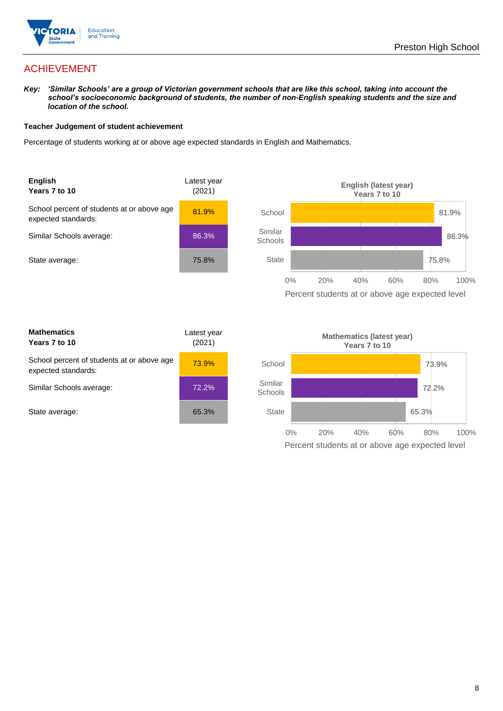

## ACHIEVEMENT

*Key: 'Similar Schools' are a group of Victorian government schools that are like this school, taking into account the school's socioeconomic background of students, the number of non-English speaking students and the size and location of the school.*

#### **Teacher Judgement of student achievement**

Percentage of students working at or above age expected standards in English and Mathematics.



| <b>Mathematics</b><br>Years 7 to 10                               | Latest year<br>(2021) |  |
|-------------------------------------------------------------------|-----------------------|--|
| School percent of students at or above age<br>expected standards: | 73.9%                 |  |
| Similar Schools average:                                          | 72.2%                 |  |
| State average:                                                    | 65.3%                 |  |

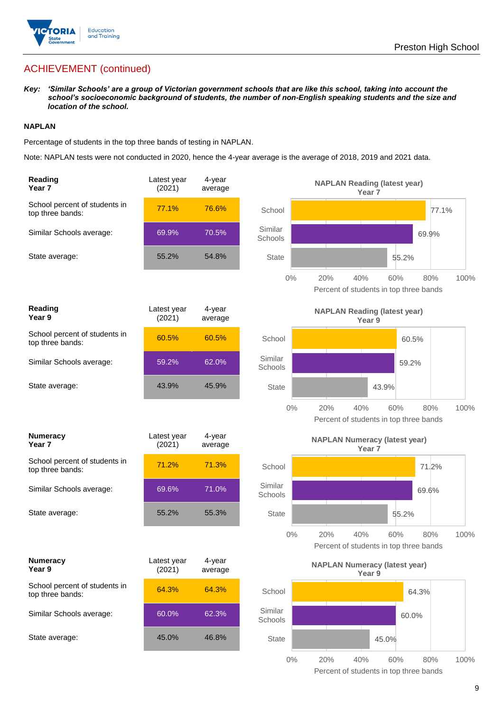

## ACHIEVEMENT (continued)

*Key: 'Similar Schools' are a group of Victorian government schools that are like this school, taking into account the school's socioeconomic background of students, the number of non-English speaking students and the size and location of the school.*

#### **NAPLAN**

Percentage of students in the top three bands of testing in NAPLAN.

Note: NAPLAN tests were not conducted in 2020, hence the 4-year average is the average of 2018, 2019 and 2021 data.

| Reading<br>Year <sub>7</sub>                      | Latest year<br>(2021) | 4-year<br>average |                    | <b>NAPLAN Reading (latest year)</b><br>Year <sub>7</sub>  |                                                      |      |
|---------------------------------------------------|-----------------------|-------------------|--------------------|-----------------------------------------------------------|------------------------------------------------------|------|
| School percent of students in<br>top three bands: | 77.1%                 | 76.6%             | School             |                                                           | 77.1%                                                |      |
| Similar Schools average:                          | 69.9%                 | 70.5%             | Similar<br>Schools |                                                           | 69.9%                                                |      |
| State average:                                    | 55.2%                 | 54.8%             | <b>State</b>       |                                                           | 55.2%                                                |      |
|                                                   |                       |                   | $0\%$              | 20%<br>40%                                                | 60%<br>80%<br>Percent of students in top three bands | 100% |
| Reading<br>Year 9                                 | Latest year<br>(2021) | 4-year<br>average |                    | <b>NAPLAN Reading (latest year)</b><br>Year 9             |                                                      |      |
| School percent of students in<br>top three bands: | 60.5%                 | 60.5%             | School             |                                                           | 60.5%                                                |      |
| Similar Schools average:                          | 59.2%                 | 62.0%             | Similar<br>Schools |                                                           | 59.2%                                                |      |
| State average:                                    | 43.9%                 | 45.9%             | <b>State</b>       |                                                           | 43.9%                                                |      |
|                                                   |                       |                   | $0\%$              | 20%<br>40%                                                | 60%<br>80%<br>Percent of students in top three bands | 100% |
| <b>Numeracy</b><br>Year <sub>7</sub>              | Latest year<br>(2021) | 4-year<br>average |                    | <b>NAPLAN Numeracy (latest year)</b><br>Year <sub>7</sub> |                                                      |      |
| School percent of students in<br>top three bands: | 71.2%                 | 71.3%             | School             |                                                           | 71.2%                                                |      |
| Similar Schools average:                          | 69.6%                 | 71.0%             | Similar<br>Schools |                                                           | 69.6%                                                |      |
| State average:                                    | 55.2%                 | 55.3%             | <b>State</b>       |                                                           | 55.2%                                                |      |
|                                                   |                       |                   | $0\%$              | 20%<br>40%                                                | 60%<br>80%<br>Percent of students in top three bands | 100% |
| <b>Numeracy</b><br>Year 9                         | Latest year<br>(2021) | 4-year<br>average |                    | <b>NAPLAN Numeracy (latest year)</b><br>Year 9            |                                                      |      |
| School percent of students in<br>top three bands: | 64.3%                 | 64.3%             | School             |                                                           | 64.3%                                                |      |
| Similar Schools average:                          | 60.0%                 | 62.3%             | Similar<br>Schools |                                                           | 60.0%                                                |      |
| State average:                                    | 45.0%                 | 46.8%             | <b>State</b>       |                                                           | 45.0%                                                |      |
|                                                   |                       |                   | $0\%$              | 20%<br>40%                                                | 80%<br>60%                                           | 100% |

Percent of students in top three bands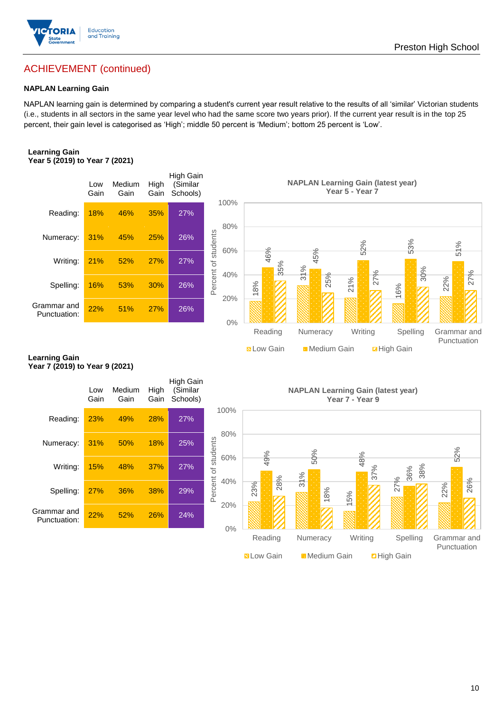

#### **NAPLAN Learning Gain**

NAPLAN learning gain is determined by comparing a student's current year result relative to the results of all 'similar' Victorian students (i.e., students in all sectors in the same year level who had the same score two years prior). If the current year result is in the top 25 percent, their gain level is categorised as 'High'; middle 50 percent is 'Medium'; bottom 25 percent is 'Low'.

#### **Learning Gain Year 5 (2019) to Year 7 (2021)**



#### **Learning Gain Year 7 (2019) to Year 9 (2021)**



**N** Low Gain **Medium Gain Example 1** 

Punctuation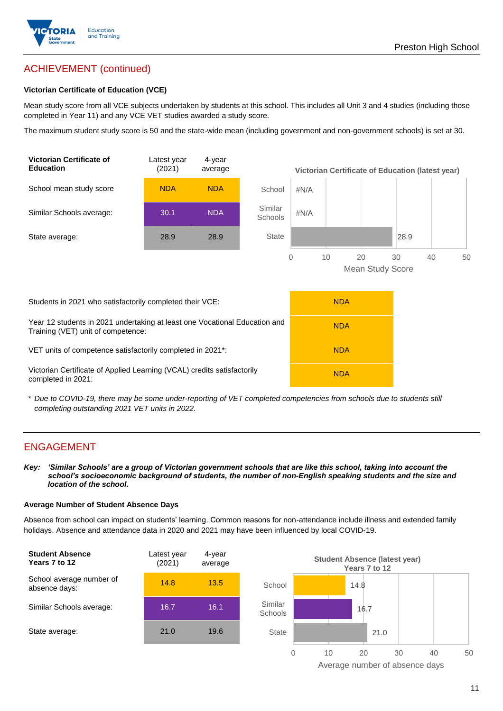

## ACHIEVEMENT (continued)

#### **Victorian Certificate of Education (VCE)**

Mean study score from all VCE subjects undertaken by students at this school. This includes all Unit 3 and 4 studies (including those completed in Year 11) and any VCE VET studies awarded a study score.

The maximum student study score is 50 and the state-wide mean (including government and non-government schools) is set at 30.



\* *Due to COVID-19, there may be some under-reporting of VET completed competencies from schools due to students still completing outstanding 2021 VET units in 2022.*

### ENGAGEMENT

*Key: 'Similar Schools' are a group of Victorian government schools that are like this school, taking into account the school's socioeconomic background of students, the number of non-English speaking students and the size and location of the school.*

#### **Average Number of Student Absence Days**

Absence from school can impact on students' learning. Common reasons for non-attendance include illness and extended family holidays. Absence and attendance data in 2020 and 2021 may have been influenced by local COVID-19.



Average number of absence days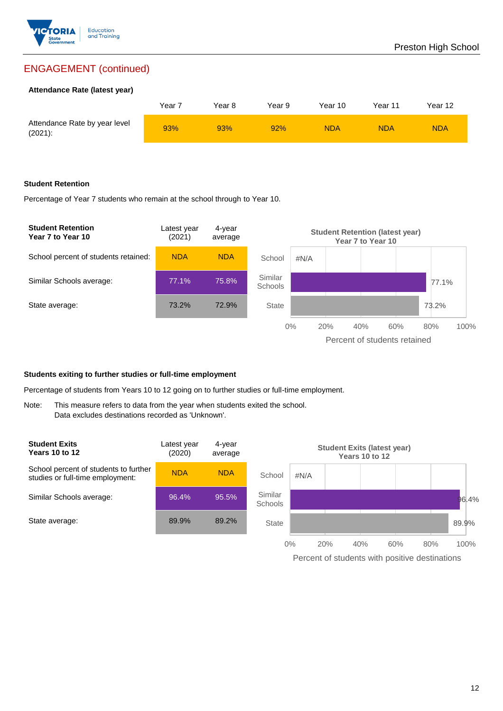

## ENGAGEMENT (continued)

#### **Attendance Rate (latest year)**

|                                             | Year 7 | Year 8 | Year 9 | Year 10 | Year 11 | Year 12    |
|---------------------------------------------|--------|--------|--------|---------|---------|------------|
| Attendance Rate by year level<br>$(2021)$ : | 93%    | 93%    | 92%    | NDA     | NDA     | <b>NDA</b> |

#### **Student Retention**

Percentage of Year 7 students who remain at the school through to Year 10.



#### **Students exiting to further studies or full-time employment**

Percentage of students from Years 10 to 12 going on to further studies or full-time employment.

Note: This measure refers to data from the year when students exited the school. Data excludes destinations recorded as 'Unknown'.



Percent of students with positive destinations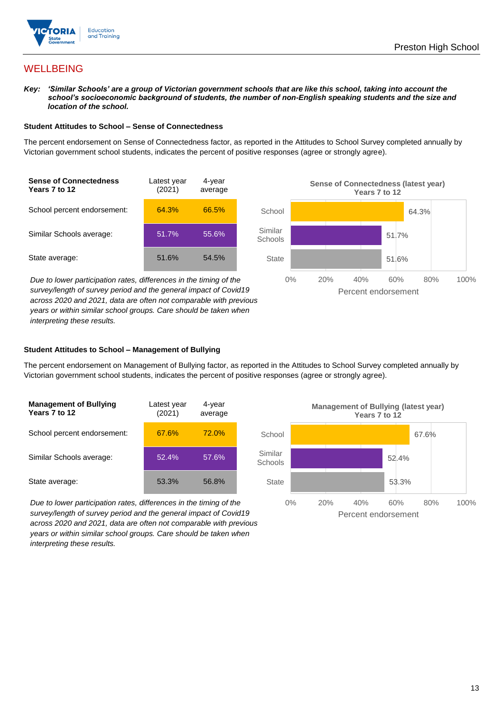

## **WELLBEING**

*Key: 'Similar Schools' are a group of Victorian government schools that are like this school, taking into account the school's socioeconomic background of students, the number of non-English speaking students and the size and location of the school.*

#### **Student Attitudes to School – Sense of Connectedness**

The percent endorsement on Sense of Connectedness factor, as reported in the Attitudes to School Survey completed annually by Victorian government school students, indicates the percent of positive responses (agree or strongly agree).



*Due to lower participation rates, differences in the timing of the survey/length of survey period and the general impact of Covid19 across 2020 and 2021, data are often not comparable with previous years or within similar school groups. Care should be taken when interpreting these results.*



#### **Student Attitudes to School – Management of Bullying**

The percent endorsement on Management of Bullying factor, as reported in the Attitudes to School Survey completed annually by Victorian government school students, indicates the percent of positive responses (agree or strongly agree).

| <b>Management of Bullying</b><br>Years 7 to 12 | Latest year<br>(2021) | 4-year<br>average |  |
|------------------------------------------------|-----------------------|-------------------|--|
| School percent endorsement:                    | 67.6%                 | 72.0%             |  |
| Similar Schools average:                       | 52.4%                 | 57.6%             |  |
| State average:                                 | 53.3%                 | 56.8%             |  |

*Due to lower participation rates, differences in the timing of the survey/length of survey period and the general impact of Covid19 across 2020 and 2021, data are often not comparable with previous years or within similar school groups. Care should be taken when interpreting these results.*

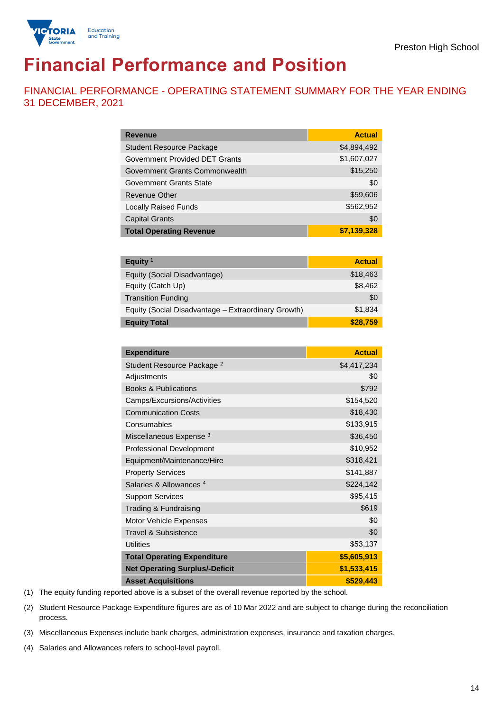



# **Financial Performance and Position**

FINANCIAL PERFORMANCE - OPERATING STATEMENT SUMMARY FOR THE YEAR ENDING 31 DECEMBER, 2021

| <b>Revenue</b>                  | <b>Actual</b> |
|---------------------------------|---------------|
| <b>Student Resource Package</b> | \$4,894,492   |
| Government Provided DET Grants  | \$1,607,027   |
| Government Grants Commonwealth  | \$15,250      |
| <b>Government Grants State</b>  | \$0           |
| <b>Revenue Other</b>            | \$59,606      |
| <b>Locally Raised Funds</b>     | \$562,952     |
| <b>Capital Grants</b>           | \$0           |
| <b>Total Operating Revenue</b>  | \$7,139,328   |

| Equity <sup>1</sup>                                 | <b>Actual</b> |
|-----------------------------------------------------|---------------|
| Equity (Social Disadvantage)                        | \$18,463      |
| Equity (Catch Up)                                   | \$8,462       |
| <b>Transition Funding</b>                           | \$0           |
| Equity (Social Disadvantage - Extraordinary Growth) | \$1,834       |
| <b>Equity Total</b>                                 | \$28,759      |

| <b>Expenditure</b>                    | <b>Actual</b> |
|---------------------------------------|---------------|
| Student Resource Package <sup>2</sup> | \$4,417,234   |
| Adjustments                           | \$0           |
| <b>Books &amp; Publications</b>       | \$792         |
| Camps/Excursions/Activities           | \$154,520     |
| <b>Communication Costs</b>            | \$18,430      |
| Consumables                           | \$133,915     |
| Miscellaneous Expense <sup>3</sup>    | \$36,450      |
| <b>Professional Development</b>       | \$10,952      |
| Equipment/Maintenance/Hire            | \$318,421     |
| <b>Property Services</b>              | \$141,887     |
| Salaries & Allowances <sup>4</sup>    | \$224,142     |
| <b>Support Services</b>               | \$95,415      |
| Trading & Fundraising                 | \$619         |
| Motor Vehicle Expenses                | \$0           |
| Travel & Subsistence                  | \$0           |
| <b>Utilities</b>                      | \$53,137      |
| <b>Total Operating Expenditure</b>    | \$5,605,913   |
| <b>Net Operating Surplus/-Deficit</b> | \$1,533,415   |
| <b>Asset Acquisitions</b>             | \$529,443     |

(1) The equity funding reported above is a subset of the overall revenue reported by the school.

(2) Student Resource Package Expenditure figures are as of 10 Mar 2022 and are subject to change during the reconciliation process.

(3) Miscellaneous Expenses include bank charges, administration expenses, insurance and taxation charges.

(4) Salaries and Allowances refers to school-level payroll.